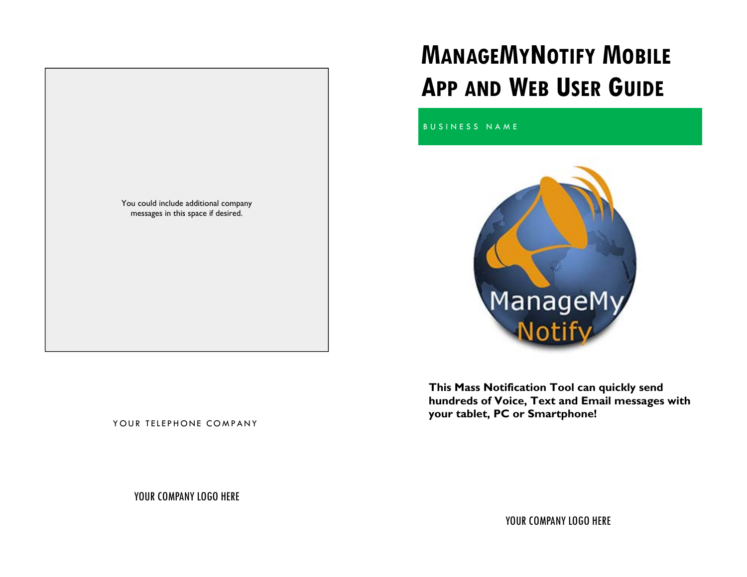

# **MANAGEMYNOTIFY MOBILE APP AND WEB USER GUIDE**

BUSINESS NAME



**This Mass Notification Tool can quickly send hundreds of Voice, Text and Email messages with your tablet, PC or Smartphone!** 

YOUR TELEPHONE COMPANY

YOUR COMPANY LOGO HERE

YOUR COMPANY LOGO HERE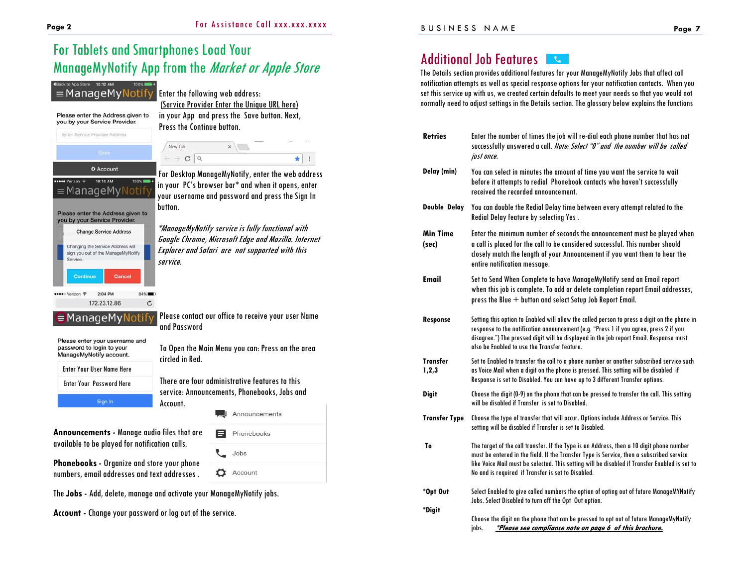# For Tablets and Smartphones Load Your ManageMyNotify App from the Market or Apple Store

#### 4 Back to App Store 10:12 AM =ManageMyNotify

Please enter the Address given to you by your Service Provider. Enter Service Provider Address

**O** Account

Please enter the Address given to you by your Service Provider. **Change Service Address** Changing the Service Address will sign you out of the ManageMyNotify

Cancel

**RANCH** 

 $\mathtt{C}$ 

≡ManageMyN

**essee** Verizon

ervice

●●●●○ Verizon 令

Continu

Enter the following web address: (Service Provider Enter the Unique URL here) in your App and press the Save button. Next, Press the Continue button.

New Tab  $x \mid$  $\rightarrow$  C Q  $\star$  :

### For Desktop ManageMyNotify, enter the web address in your PC's browser bar\* and when it opens, enter your username and password and press the Sign In button.

\*ManageMyNotify service is fully functional with Google Chrome, Microsoft Edge and Mozilla. Internet Explorer and Safari are not supported with this service.

Please enter your username and password to login to your ManageMyNotify account.

2:04 PM

172.23.12.86

 $\in$ ManageMyNotify

Enter Your User Name Here Enter Your Password Here Sign In

To Open the Main Menu you can: Press on the area circled in Red.

Please contact our office to receive your user Name

There are four administrative features to this service: Announcements, Phonebooks, Jobs and Account.

Phonebooks

Jobs

**D** Account

Announcements

**Announcements -** Manage audio files that are available to be played for notification calls.

**Phonebooks -** Organize and store your phone numbers, email addresses and text addresses .

The **Jobs -** Add, delete, manage and activate your ManageMyNotify jobs.

and Password

**Account -** Change your password or log out of the service.

#### Additional Job Features  $\mathbf{C}$

The Details section provides additional features for your ManageMyNotify Jobs that affect call notification attempts as well as special response options for your notification contacts. When you set this service up with us, we created certain defaults to meet your needs so that you would not normally need to adjust settings in the Details section. The glossary below explains the functions

| <b>Retries</b>       | Enter the number of times the job will re-dial each phone number that has not<br>successfully answered a call. Note: Select "O" and the number will be called<br>just once.                                                                                                                                                                 |
|----------------------|---------------------------------------------------------------------------------------------------------------------------------------------------------------------------------------------------------------------------------------------------------------------------------------------------------------------------------------------|
| Delay (min)          | You can select in minutes the amount of time you want the service to wait<br>before it attempts to redial Phonebook contacts who haven't successfully<br>received the recorded announcement.                                                                                                                                                |
| Double Delay         | You can double the Redial Delay time between every attempt related to the<br>Redial Delay feature by selecting Yes.                                                                                                                                                                                                                         |
| Min Time<br>(sec)    | Enter the minimum number of seconds the announcement must be played when<br>a call is placed for the call to be considered successful. This number should<br>closely match the length of your Announcement if you want them to hear the<br>entire notification message.                                                                     |
| <b>Email</b>         | Set to Send When Complete to have ManageMyNotify send an Email report<br>when this job is complete. To add or delete completion report Email addresses,<br>press the Blue + button and select Setup Job Report Email.                                                                                                                       |
| <b>Response</b>      | Setting this option to Enabled will allow the called person to press a digit on the phone in<br>response to the notification announcement (e.g. "Press 1 if you agree, press 2 if you<br>disagree.") The pressed digit will be displayed in the job report Email. Response must<br>also be Enabled to use the Transfer feature.             |
| Transfer<br>1,2,3    | Set to Enabled to transfer the call to a phone number or another subscribed service such<br>as Voice Mail when a digit on the phone is pressed. This setting will be disabled if<br>Response is set to Disabled. You can have up to 3 different Transfer options.                                                                           |
| <b>Digit</b>         | Choose the digit (0-9) on the phone that can be pressed to transfer the call. This setting<br>will be disabled if Transfer is set to Disabled.                                                                                                                                                                                              |
| <b>Transfer Type</b> | Choose the type of transfer that will occur. Options include Address or Service. This<br>setting will be disabled if Transfer is set to Disabled.                                                                                                                                                                                           |
| To                   | The target of the call transfer. If the Type is an Address, then a 10 digit phone number<br>must be entered in the field. If the Transfer Type is Service, then a subscribed service<br>like Voice Mail must be selected. This setting will be disabled if Transfer Enabled is set to<br>No and is required if Transfer is set to Disabled. |
| *Opt Out             | Select Enabled to give called numbers the option of opting out of future ManageMYNotify<br>Jobs. Select Disabled to turn off the Opt Out option.                                                                                                                                                                                            |
| *Digit               | Choose the digit on the phone that can be pressed to opt out of future ManageMyNotify<br>*Please see compliance note on page 6 of this brochure.<br>jobs.                                                                                                                                                                                   |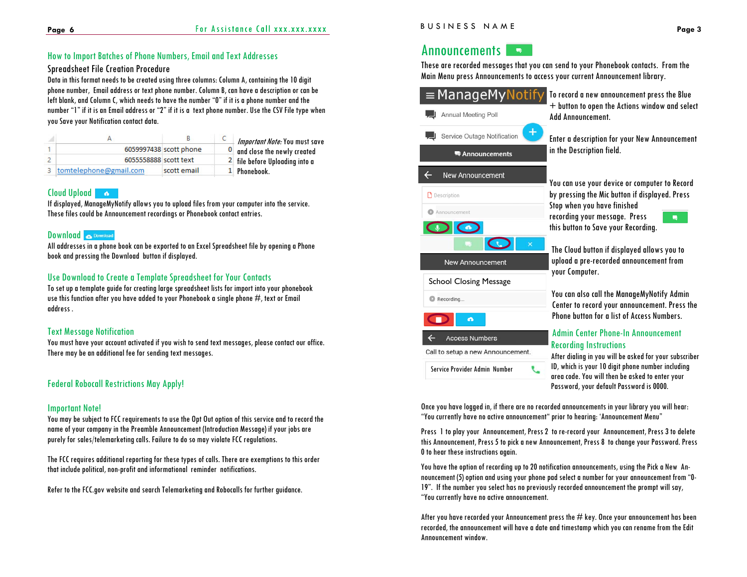## How to Import Batches of Phone Numbers, Email and Text Addresses

#### Spreadsheet File Creation Procedure

Data in this format needs to be created using three columns: Column A, containing the 10 digit phone number, Email address or text phone number. Column B, can have a description or can be left blank, and Column C, which needs to have the number "0" if it is a phone number and the number "1" if it is an Email address or "2" if it is a text phone number. Use the CSV File type when you Save your Notification contact data.

|                          |                        | Important Note: You must save              |
|--------------------------|------------------------|--------------------------------------------|
|                          | 6059997438 scott phone | O and close the newly created              |
| 6055558888 scott text    |                        | $\frac{2}{3}$ file before Uploading into a |
| 3 tomtelephone@gmail.com | scott email            | 1 Phonebook.                               |

### Cloud Upload

If displayed, ManageMyNotify allows you to upload files from your computer into the service. These files could be Announcement recordings or Phonebook contact entries.

#### Download **Commission**

All addresses in a phone book can be exported to an Excel Spreadsheet file by opening a Phone book and pressing the Download button if displayed.

#### Use Download to Create a Template Spreadsheet for Your Contacts

To set up a template guide for creating large spreadsheet lists for import into your phonebook use this function after you have added to your Phonebook a single phone  $\#$ , text or Email address .

#### Text Message Notification

You must have your account activated if you wish to send text messages, please contact our office. There may be an additional fee for sending text messages.

# Federal Robocall Restrictions May Apply!

#### Important Note!

You may be subject to FCC requirements to use the Opt Out option of this service and to record the name of your company in the Preamble Announcement (Introduction Message) if your jobs are purely for sales/telemarketing calls. Failure to do so may violate FCC regulations.

The FCC requires additional reporting for these types of calls. There are exemptions to this order that include political, non-profit and informational reminder notifications.

Refer to the FCC.gov website and search Telemarketing and Robocalls for further guidance.

#### Announcements I  $\sim 100$

These are recorded messages that you can send to your Phonebook contacts. From the Main Menu press Announcements to access your current Announcement library.

| =ManageMyNotif<br><b>Annual Meeting Poll</b>                                                | To record a new announcement press the Blue<br>+ button to open the Actions window and select<br><b>Add Announcement.</b>                                                                                                                                                                |
|---------------------------------------------------------------------------------------------|------------------------------------------------------------------------------------------------------------------------------------------------------------------------------------------------------------------------------------------------------------------------------------------|
| $\div$<br>Service Outage Notification<br><sup>典</sup> Announcements                         | Enter a description for your New Announcement<br>in the Description field.                                                                                                                                                                                                               |
| <b>New Announcement</b><br><b>D</b> Description<br>Announcement                             | You can use your device or computer to Record<br>by pressing the Mic button if displayed. Press<br>Stop when you have finished<br>recording your message. Press<br>Ω<br>this button to Save your Recording.                                                                              |
| <b>New Announcement</b><br><b>School Closing Message</b>                                    | The Cloud button if displayed allows you to<br>upload a pre-recorded announcement from<br>your Computer.                                                                                                                                                                                 |
| Recording<br>a                                                                              | You can also call the ManageMyNotify Admin<br>Center to record your announcement. Press the<br>Phone button for a list of Access Numbers                                                                                                                                                 |
| <b>Access Numbers</b><br>Call to setup a new Announcement.<br>Service Provider Admin Number | <b>Admin Center Phone-In Announcement</b><br><b>Recording Instructions</b><br>After dialing in you will be asked for your subscriber<br>ID, which is your 10 digit phone number including<br>area code. You will then be asked to enter your<br>Password, your default Password is 0000. |

Once you have logged in, if there are no recorded announcements in your library you will hear: "You currently have no active announcement" prior to hearing: 'Announcement Menu"

Press 1 to play your Announcement, Press 2 to re-record your Announcement, Press 3 to delete this Announcement, Press 5 to pick a new Announcement, Press 8 to change your Password. Press 0 to hear these instructions again.

You have the option of recording up to 20 notification announcements, using the Pick a New Announcement (5) option and using your phone pad select a number for your announcement from "0- 19". If the number you select has no previously recorded announcement the prompt will say, "You currently have no active announcement.

After you have recorded your Announcement press the  $\#$  key. Once your announcement has been recorded, the announcement will have a date and timestamp which you can rename from the Edit Announcement window.